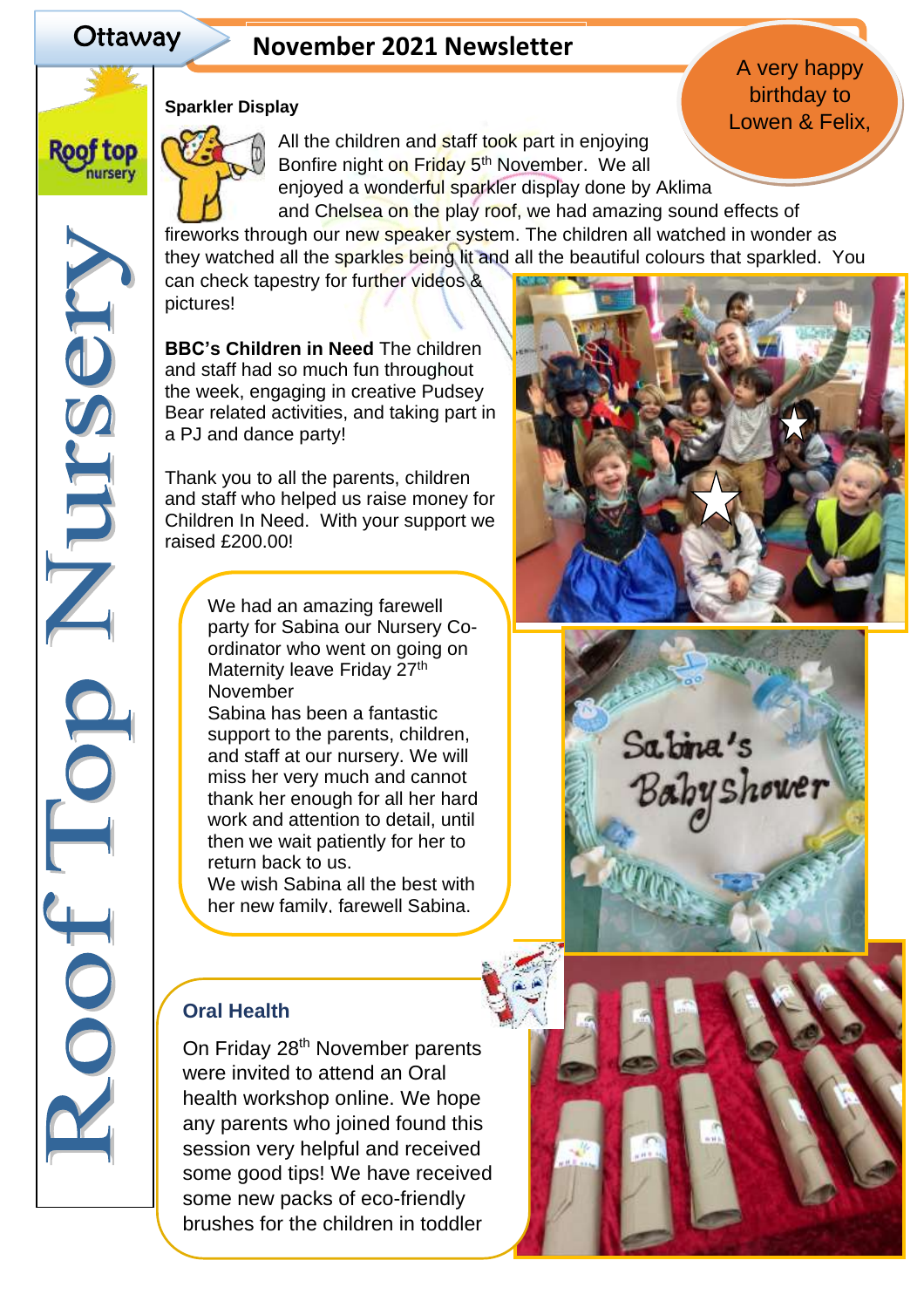**Roof top** nursery

NBSDILL

Ŏ

COOT

# Ottaway **November 2021 Newsletter**

# **Sparkler Display**



All the children and staff took part in enjoying Bonfire night on Friday 5<sup>th</sup> November. We all enjoyed a wonderful sparkler display done by Aklima and Chelsea on the play roof, we had amazing sound effects of fireworks through our new speaker system. The children all watched in wonder as

they watched all the sparkles being lit and all the beautiful colours that sparkled. You

can check tapestry for further videos & pictures!

**BBC's Children in Need** The children and staff had so much fun throughout the week, engaging in creative Pudsey Bear related activities, and taking part in a PJ and dance party!

Thank you to all the parents, children and staff who helped us raise money for Children In Need. With your support we raised £200.00!

> We had an amazing farewell party for Sabina our Nursery Coordinator who went on going on Maternity leave Friday 27<sup>th</sup> November

Sabina has been a fantastic support to the parents, children, and staff at our nursery. We will miss her very much and cannot thank her enough for all her hard work and attention to detail, until then we wait patiently for her to return back to us.

We wish Sabina all the best with her new family, farewell Sabina.

# **Oral Health**

On Friday 28<sup>th</sup> November parents were invited to attend an Oral health workshop online. We hope any parents who joined found this session very helpful and received some good tips! We have received some new packs of eco-friendly brushes for the children in toddler

and preschool room. If you haven't





# A very happy birthday to Lowen & Felix,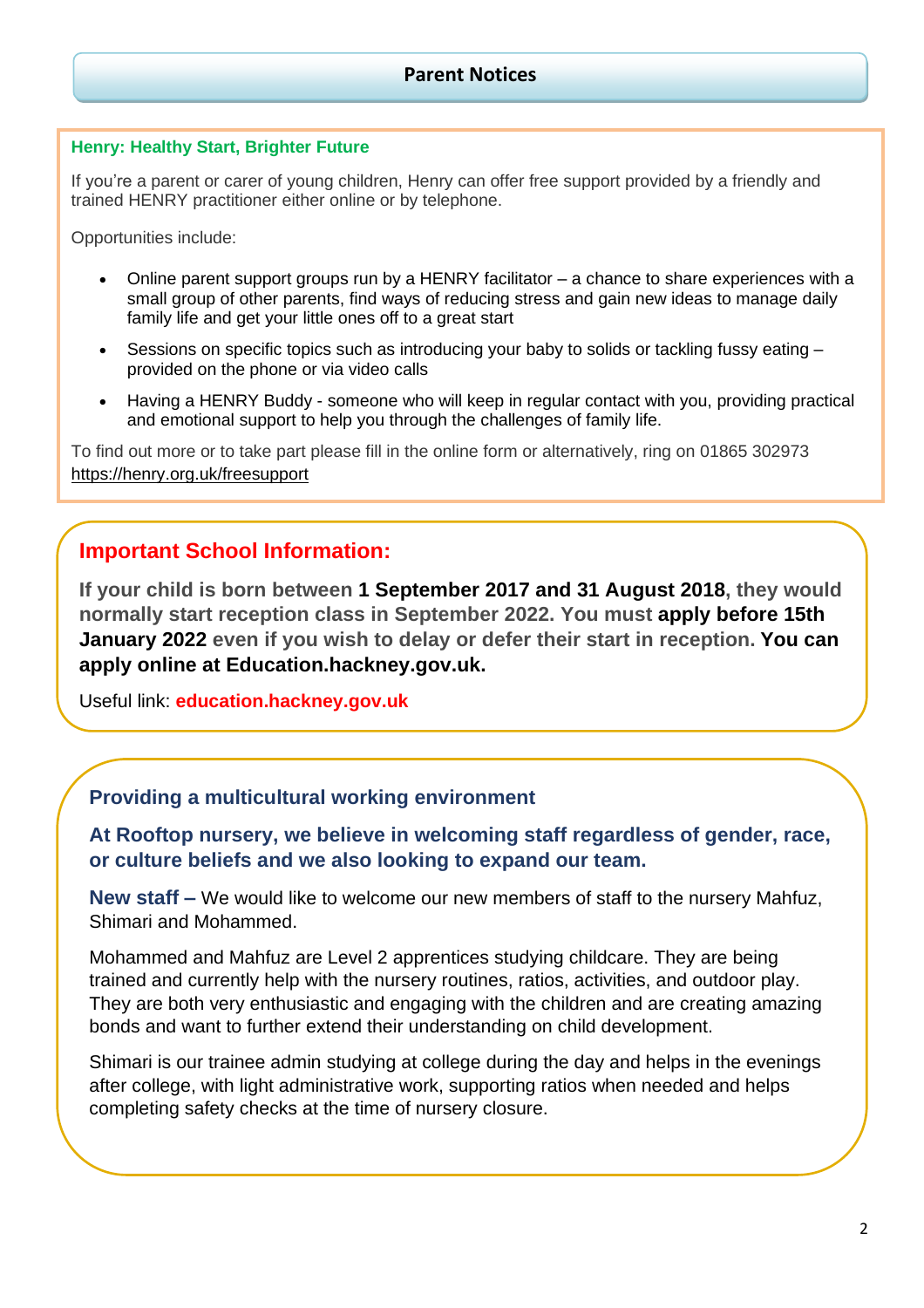#### **Henry: Healthy Start, Brighter Future**

If you're a parent or carer of young children, Henry can offer free support provided by a friendly and trained HENRY practitioner either online or by telephone.

Opportunities include:

- Online parent support groups run by a HENRY facilitator a chance to share experiences with a small group of other parents, find ways of reducing stress and gain new ideas to manage daily family life and get your little ones off to a great start
- Sessions on specific topics such as introducing your baby to solids or tackling fussy eating provided on the phone or via video calls
- Having a HENRY Buddy someone who will keep in regular contact with you, providing practical and emotional support to help you through the challenges of family life.

To find out more or to take part please fill in the online form or alternatively, ring on 01865 302973 <https://henry.org.uk/freesupport>

# **Important School Information:**

**If your child is born between 1 September 2017 and 31 August 2018, they would normally start reception class in September 2022. You must [apply](https://education.hackney.gov.uk/content/primary-before-you-apply?guidebook=188) before 15th January 2022 even if you wish to delay or defer their start in reception. You can apply online at Education.hackney.gov.uk.**

Useful link: **education.hackney.gov.uk**

#### **Providing a multicultural working environment**

**At Rooftop nursery, we believe in welcoming staff regardless of gender, race, or culture beliefs and we also looking to expand our team.**

**New staff –** We would like to welcome our new members of staff to the nursery Mahfuz, Shimari and Mohammed.

Mohammed and Mahfuz are Level 2 apprentices studying childcare. They are being trained and currently help with the nursery routines, ratios, activities, and outdoor play. They are both very enthusiastic and engaging with the children and are creating amazing bonds and want to further extend their understanding on child development.

Shimari is our trainee admin studying at college during the day and helps in the evenings after college, with light administrative work, supporting ratios when needed and helps completing safety checks at the time of nursery closure.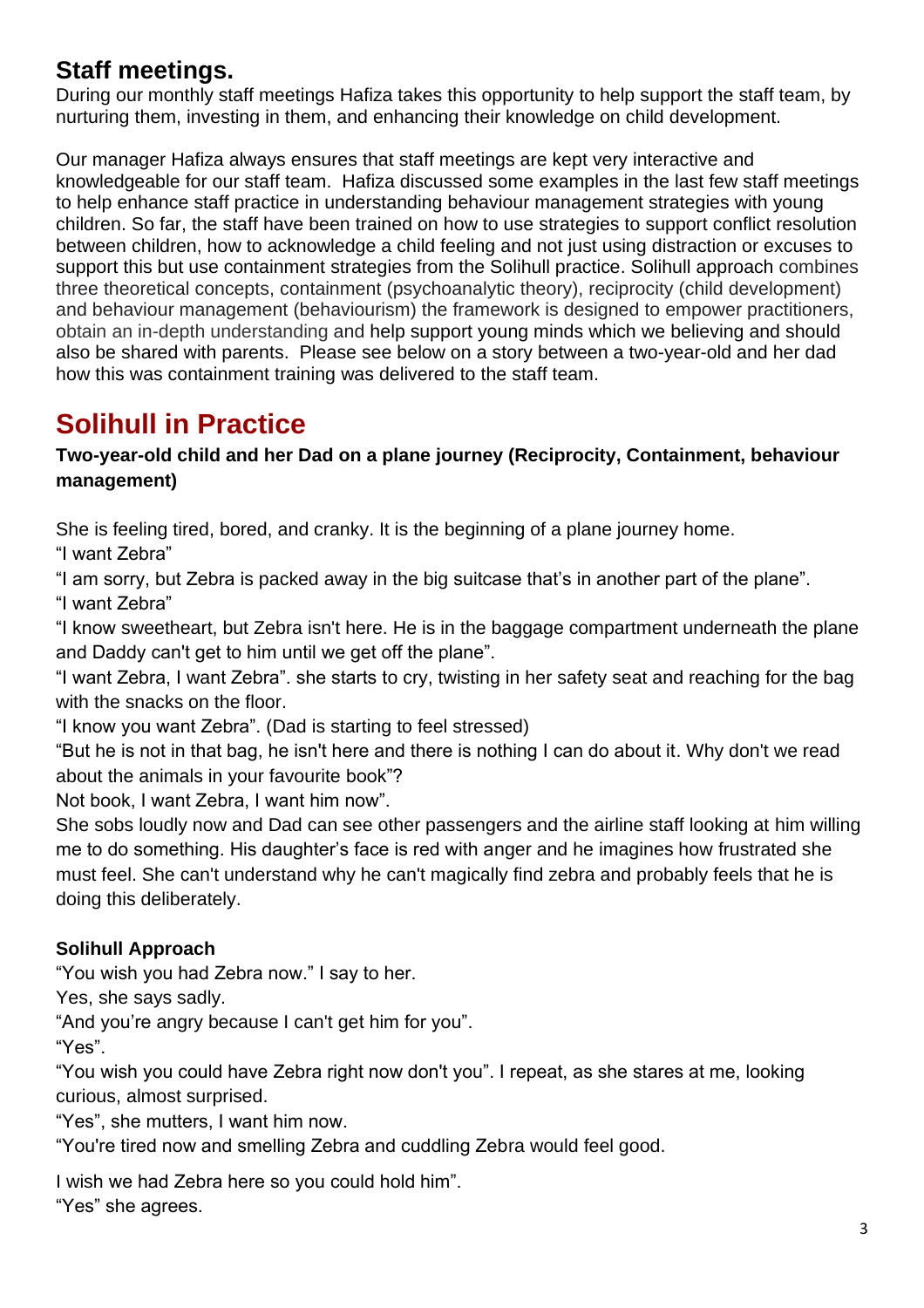# **Staff meetings.**

During our monthly staff meetings Hafiza takes this opportunity to help support the staff team, by nurturing them, investing in them, and enhancing their knowledge on child development.

Our manager Hafiza always ensures that staff meetings are kept very interactive and knowledgeable for our staff team. Hafiza discussed some examples in the last few staff meetings to help enhance staff practice in understanding behaviour management strategies with young children. So far, the staff have been trained on how to use strategies to support conflict resolution between children, how to acknowledge a child feeling and not just using distraction or excuses to support this but use containment strategies from the Solihull practice. Solihull approach combines three theoretical concepts, containment (psychoanalytic theory), reciprocity (child development) and behaviour management (behaviourism) the framework is designed to empower practitioners, obtain an in-depth understanding and help support young minds which we believing and should also be shared with parents. Please see below on a story between a two-year-old and her dad how this was containment training was delivered to the staff team.

# **Solihull in Practice**

# **Two-year-old child and her Dad on a plane journey (Reciprocity, Containment, behaviour management)**

She is feeling tired, bored, and cranky. It is the beginning of a plane journey home.

"I want Zebra"

"I am sorry, but Zebra is packed away in the big suitcase that's in another part of the plane".

"I want Zebra"

"I know sweetheart, but Zebra isn't here. He is in the baggage compartment underneath the plane and Daddy can't get to him until we get off the plane".

"I want Zebra, I want Zebra". she starts to cry, twisting in her safety seat and reaching for the bag with the snacks on the floor.

"I know you want Zebra". (Dad is starting to feel stressed)

"But he is not in that bag, he isn't here and there is nothing I can do about it. Why don't we read about the animals in your favourite book"?

Not book, I want Zebra, I want him now".

She sobs loudly now and Dad can see other passengers and the airline staff looking at him willing me to do something. His daughter's face is red with anger and he imagines how frustrated she must feel. She can't understand why he can't magically find zebra and probably feels that he is doing this deliberately.

# **Solihull Approach**

"You wish you had Zebra now." I say to her.

Yes, she says sadly.

"And you're angry because I can't get him for you".

"Yes".

"You wish you could have Zebra right now don't you". I repeat, as she stares at me, looking curious, almost surprised.

"Yes", she mutters, I want him now.

"You're tired now and smelling Zebra and cuddling Zebra would feel good.

I wish we had Zebra here so you could hold him".

"Yes" she agrees.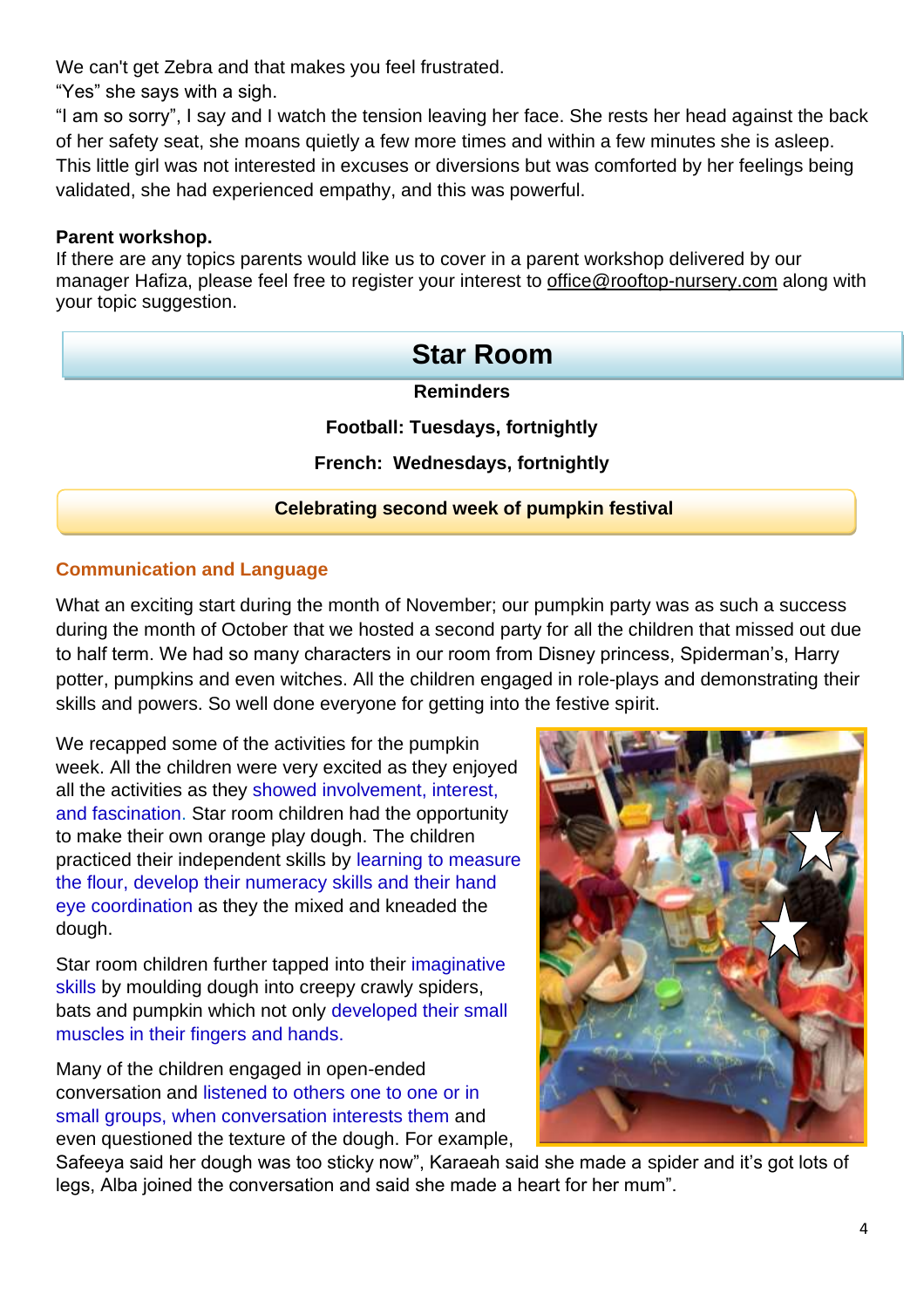We can't get Zebra and that makes you feel frustrated.

"Yes" she says with a sigh.

"I am so sorry", I say and I watch the tension leaving her face. She rests her head against the back of her safety seat, she moans quietly a few more times and within a few minutes she is asleep. This little girl was not interested in excuses or diversions but was comforted by her feelings being validated, she had experienced empathy, and this was powerful.

### **Parent workshop.**

If there are any topics parents would like us to cover in a parent workshop delivered by our manager Hafiza, please feel free to register your interest to [office@rooftop-nursery.com](mailto:office@rooftop-nursery.com) along with your topic suggestion.

# **Reminders Football: Tuesdays, fortnightly French: Wednesdays, fortnightly Celebrating second week of pumpkin festival Star Room**

# **Communication and Language**

What an exciting start during the month of November; our pumpkin party was as such a success during the month of October that we hosted a second party for all the children that missed out due to half term. We had so many characters in our room from Disney princess, Spiderman's, Harry potter, pumpkins and even witches. All the children engaged in role-plays and demonstrating their skills and powers. So well done everyone for getting into the festive spirit.

We recapped some of the activities for the pumpkin week. All the children were very excited as they enjoyed all the activities as they showed involvement, interest, and fascination. Star room children had the opportunity to make their own orange play dough. The children practiced their independent skills by learning to measure the flour, develop their numeracy skills and their hand eye coordination as they the mixed and kneaded the dough.

Star room children further tapped into their imaginative skills by moulding dough into creepy crawly spiders, bats and pumpkin which not only developed their small muscles in their fingers and hands.

Many of the children engaged in open-ended conversation and listened to others one to one or in small groups, when conversation interests them and even questioned the texture of the dough. For example,



Safeeya said her dough was too sticky now", Karaeah said she made a spider and it's got lots of legs, Alba joined the conversation and said she made a heart for her mum".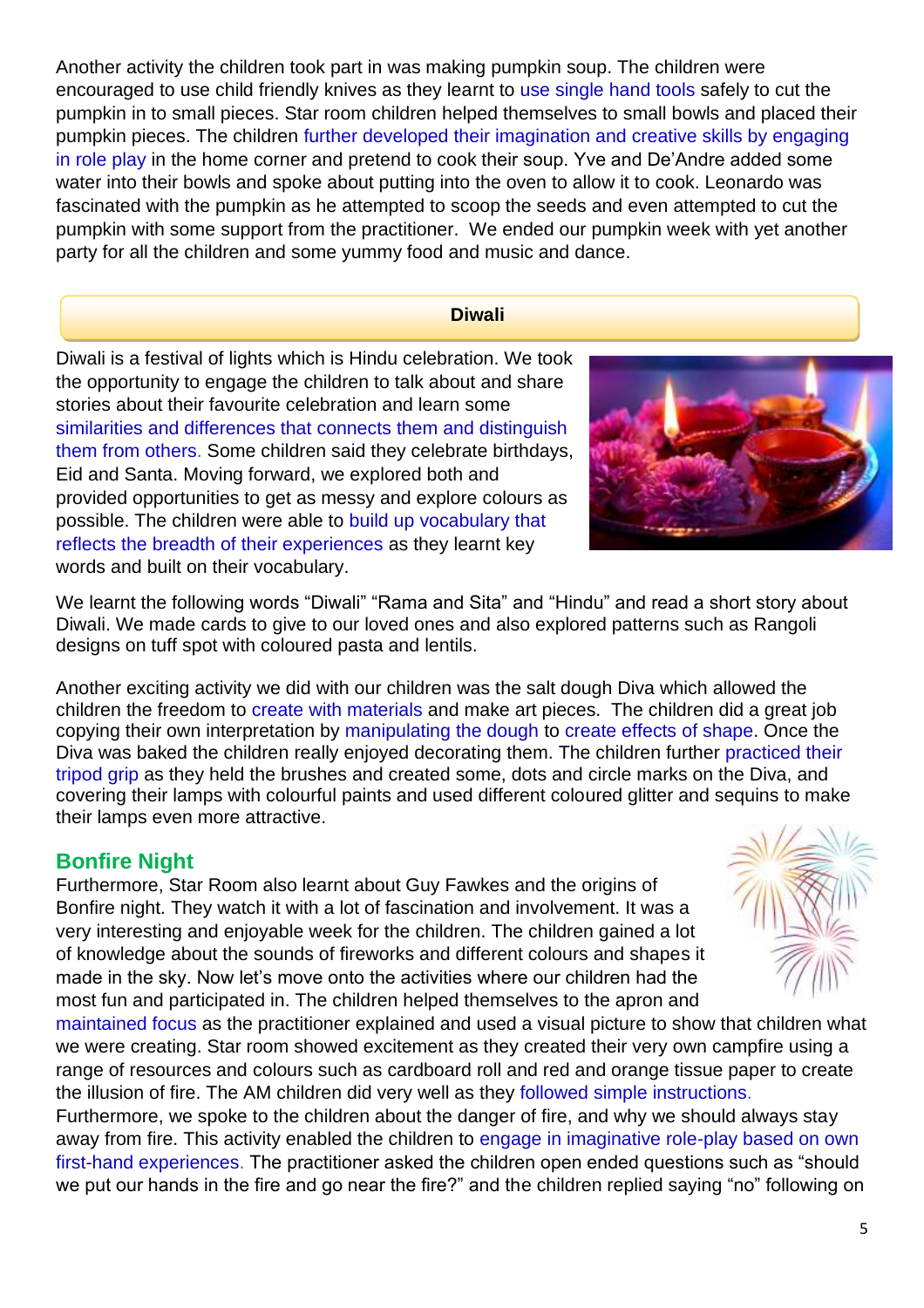Another activity the children took part in was making pumpkin soup. The children were encouraged to use child friendly knives as they learnt to use single hand tools safely to cut the pumpkin in to small pieces. Star room children helped themselves to small bowls and placed their pumpkin pieces. The children further developed their imagination and creative skills by engaging in role play in the home corner and pretend to cook their soup. Yve and De'Andre added some water into their bowls and spoke about putting into the oven to allow it to cook. Leonardo was fascinated with the pumpkin as he attempted to scoop the seeds and even attempted to cut the pumpkin with some support from the practitioner. We ended our pumpkin week with yet another party for all the children and some yummy food and music and dance.

#### **Diwali**

Diwali is a festival of lights which is Hindu celebration. We took the opportunity to engage the children to talk about and share stories about their favourite celebration and learn some similarities and differences that connects them and distinguish them from others. Some children said they celebrate birthdays, Eid and Santa. Moving forward, we explored both and provided opportunities to get as messy and explore colours as possible. The children were able to build up vocabulary that reflects the breadth of their experiences as they learnt key words and built on their vocabulary.



We learnt the following words "Diwali" "Rama and Sita" and "Hindu" and read a short story about Diwali. We made cards to give to our loved ones and also explored patterns such as Rangoli designs on tuff spot with coloured pasta and lentils.

Another exciting activity we did with our children was the salt dough Diva which allowed the children the freedom to create with materials and make art pieces. The children did a great job copying their own interpretation by manipulating the dough to create effects of shape. Once the Diva was baked the children really enjoyed decorating them. The children further practiced their tripod grip as they held the brushes and created some, dots and circle marks on the Diva, and covering their lamps with colourful paints and used different coloured glitter and sequins to make their lamps even more attractive.

# **Bonfire Night**

Furthermore, Star Room also learnt about Guy Fawkes and the origins of Bonfire night. They watch it with a lot of fascination and involvement. It was a very interesting and enjoyable week for the children. The children gained a lot of knowledge about the sounds of fireworks and different colours and shapes it made in the sky. Now let's move onto the activities where our children had the most fun and participated in. The children helped themselves to the apron and



maintained focus as the practitioner explained and used a visual picture to show that children what we were creating. Star room showed excitement as they created their very own campfire using a range of resources and colours such as cardboard roll and red and orange tissue paper to create the illusion of fire. The AM children did very well as they followed simple instructions.

Furthermore, we spoke to the children about the danger of fire, and why we should always stay away from fire. This activity enabled the children to engage in imaginative role-play based on own first-hand experiences. The practitioner asked the children open ended questions such as "should we put our hands in the fire and go near the fire?" and the children replied saying "no" following on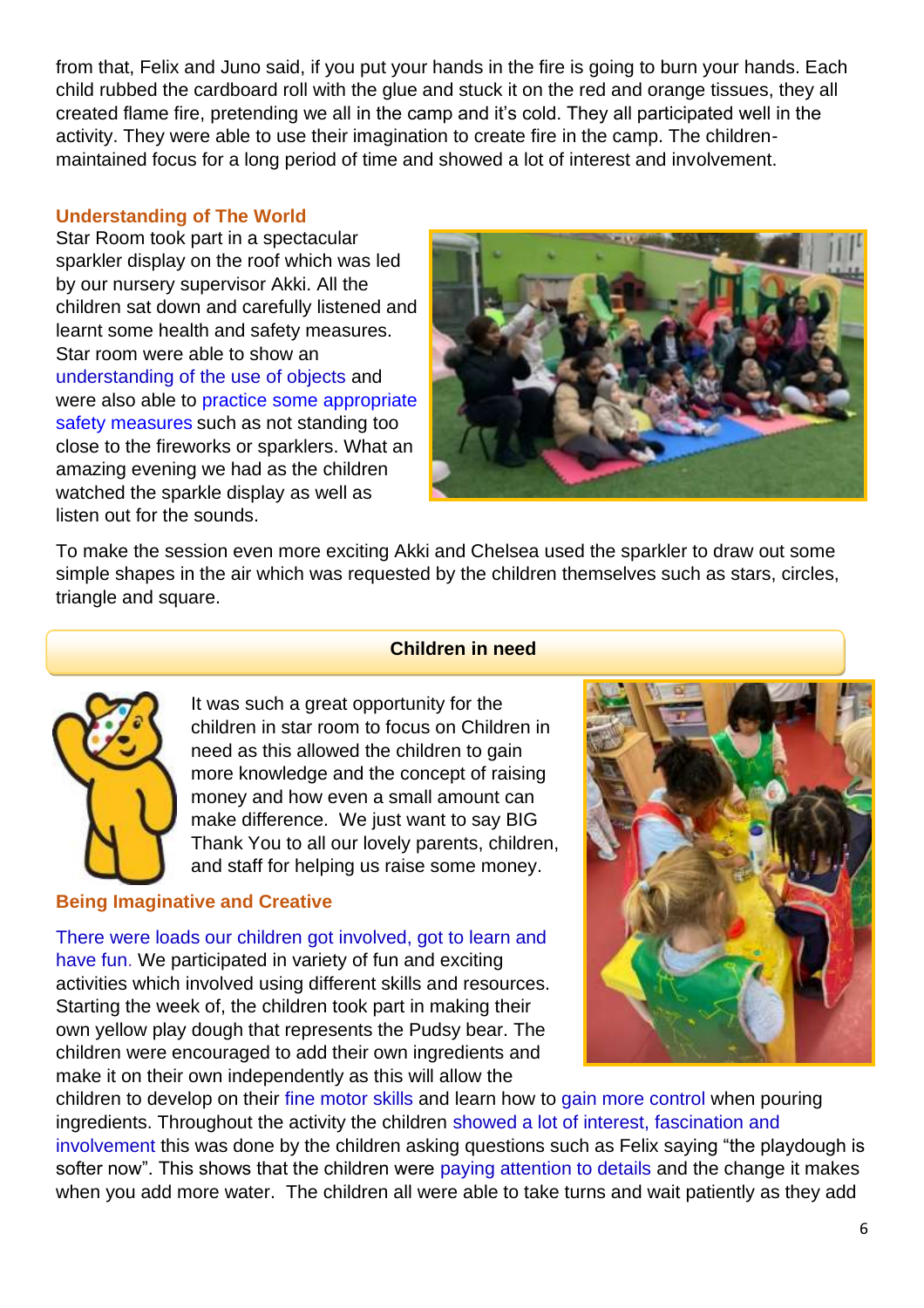from that, Felix and Juno said, if you put your hands in the fire is going to burn your hands. Each child rubbed the cardboard roll with the glue and stuck it on the red and orange tissues, they all created flame fire, pretending we all in the camp and it's cold. They all participated well in the activity. They were able to use their imagination to create fire in the camp. The childrenmaintained focus for a long period of time and showed a lot of interest and involvement.

#### **Understanding of The World**

Star Room took part in a spectacular sparkler display on the roof which was led by our nursery supervisor Akki. All the children sat down and carefully listened and learnt some health and safety measures. Star room were able to show an understanding of the use of objects and were also able to practice some appropriate safety measures such as not standing too close to the fireworks or sparklers. What an amazing evening we had as the children watched the sparkle display as well as listen out for the sounds.



To make the session even more exciting Akki and Chelsea used the sparkler to draw out some simple shapes in the air which was requested by the children themselves such as stars, circles, triangle and square.

#### **Children in need**



It was such a great opportunity for the children in star room to focus on Children in need as this allowed the children to gain more knowledge and the concept of raising money and how even a small amount can make difference. We just want to say BIG Thank You to all our lovely parents, children, and staff for helping us raise some money.

#### **Being Imaginative and Creative**

There were loads our children got involved, got to learn and have fun. We participated in variety of fun and exciting activities which involved using different skills and resources. Starting the week of, the children took part in making their own yellow play dough that represents the Pudsy bear. The children were encouraged to add their own ingredients and make it on their own independently as this will allow the



children to develop on their fine motor skills and learn how to gain more control when pouring ingredients. Throughout the activity the children showed a lot of interest, fascination and involvement this was done by the children asking questions such as Felix saying "the playdough is softer now". This shows that the children were paying attention to details and the change it makes when you add more water. The children all were able to take turns and wait patiently as they add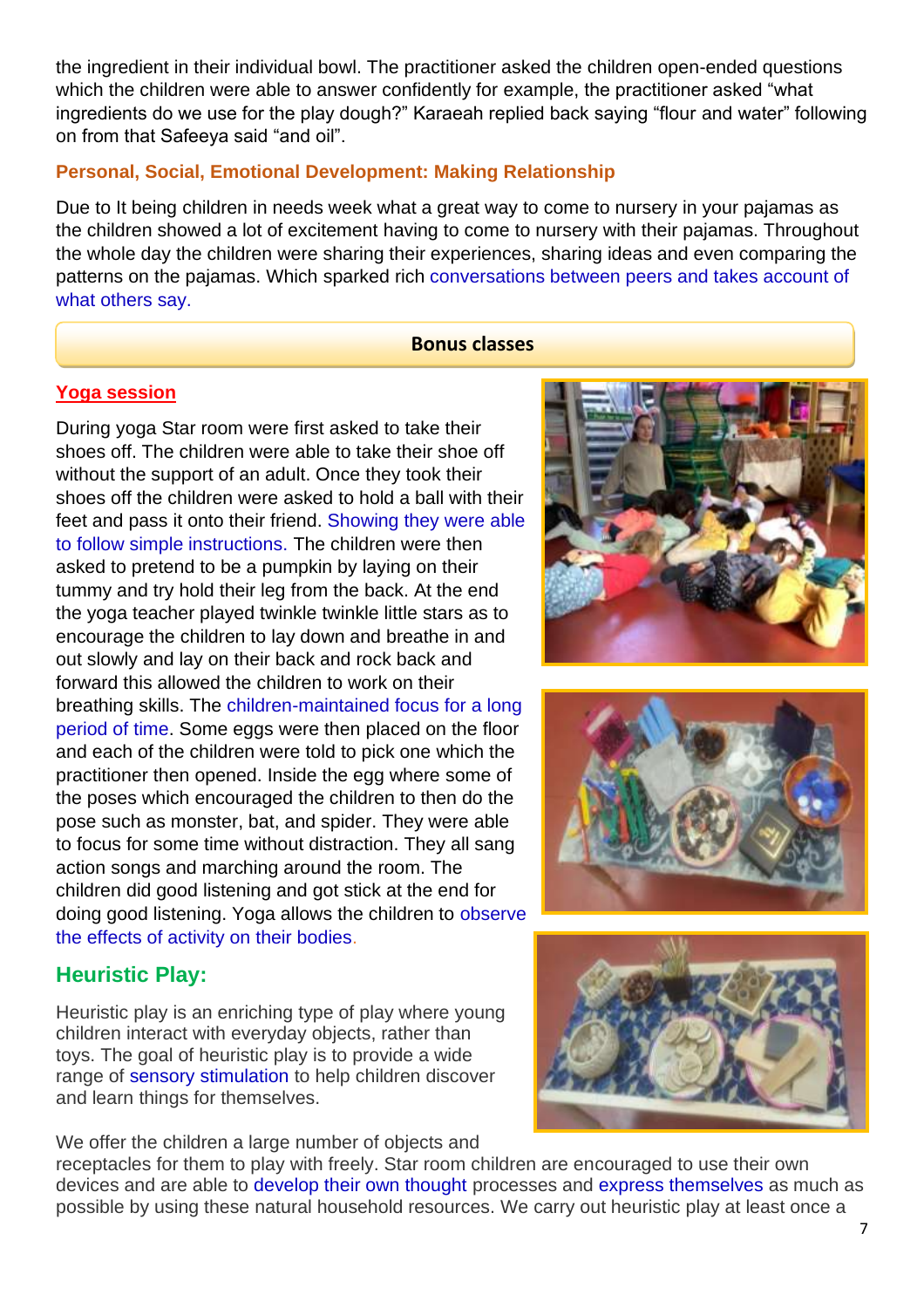the ingredient in their individual bowl. The practitioner asked the children open-ended questions which the children were able to answer confidently for example, the practitioner asked "what ingredients do we use for the play dough?" Karaeah replied back saying "flour and water" following on from that Safeeya said "and oil".

### **Personal, Social, Emotional Development: Making Relationship**

Due to It being children in needs week what a great way to come to nursery in your pajamas as the children showed a lot of excitement having to come to nursery with their pajamas. Throughout the whole day the children were sharing their experiences, sharing ideas and even comparing the patterns on the pajamas. Which sparked rich conversations between peers and takes account of what others say.

#### **Bonus classes**

#### **Yoga session**

During yoga Star room were first asked to take their shoes off. The children were able to take their shoe off without the support of an adult. Once they took their shoes off the children were asked to hold a ball with their feet and pass it onto their friend. Showing they were able to follow simple instructions. The children were then asked to pretend to be a pumpkin by laying on their tummy and try hold their leg from the back. At the end the yoga teacher played twinkle twinkle little stars as to encourage the children to lay down and breathe in and out slowly and lay on their back and rock back and forward this allowed the children to work on their breathing skills. The children-maintained focus for a long period of time. Some eggs were then placed on the floor and each of the children were told to pick one which the practitioner then opened. Inside the egg where some of the poses which encouraged the children to then do the pose such as monster, bat, and spider. They were able to focus for some time without distraction. They all sang action songs and marching around the room. The children did good listening and got stick at the end for doing good listening. Yoga allows the children to observe the effects of activity on their bodies.

# **Heuristic Play:**

Heuristic play is an enriching type of play where young children interact with everyday objects, rather than toys. The goal of heuristic play is to provide a wide range of sensory stimulation to help children discover and learn things for themselves.

We offer the children a large number of objects and

receptacles for them to play with freely. Star room children are encouraged to use their own devices and are able to develop their own thought processes and express themselves as much as possible by using these natural household resources. We carry out heuristic play at least once a





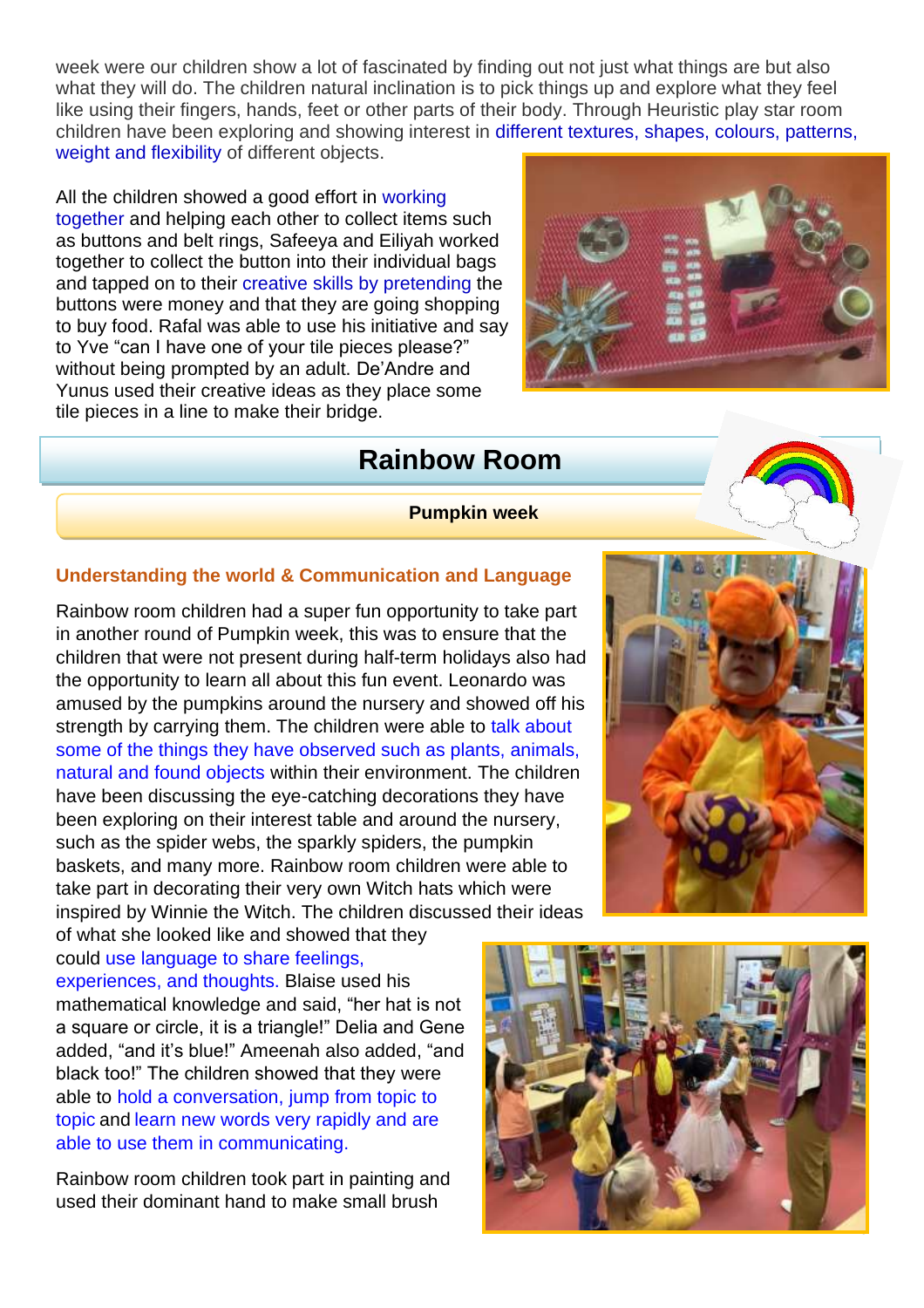week were our children show a lot of fascinated by finding out not just what things are but also what they will do. The children natural inclination is to pick things up and explore what they feel like using their fingers, hands, feet or other parts of their body. Through Heuristic play star room children have been exploring and showing interest in different textures, shapes, colours, patterns, weight and flexibility of different objects.

All the children showed a good effort in working together and helping each other to collect items such as buttons and belt rings, Safeeya and Eiliyah worked together to collect the button into their individual bags and tapped on to their creative skills by pretending the buttons were money and that they are going shopping to buy food. Rafal was able to use his initiative and say to Yve "can I have one of your tile pieces please?" without being prompted by an adult. De'Andre and Yunus used their creative ideas as they place some tile pieces in a line to make their bridge.



# **Rainbow Room**

**Pumpkin week**

### **Understanding the world & Communication and Language**

Rainbow room children had a super fun opportunity to take part in another round of Pumpkin week, this was to ensure that the children that were not present during half-term holidays also had the opportunity to learn all about this fun event. Leonardo was amused by the pumpkins around the nursery and showed off his strength by carrying them. The children were able to talk about some of the things they have observed such as plants, animals, natural and found objects within their environment. The children have been discussing the eye-catching decorations they have been exploring on their interest table and around the nursery, such as the spider webs, the sparkly spiders, the pumpkin baskets, and many more. Rainbow room children were able to take part in decorating their very own Witch hats which were inspired by Winnie the Witch. The children discussed their ideas

of what she looked like and showed that they could use language to share feelings, experiences, and thoughts. Blaise used his mathematical knowledge and said, "her hat is not a square or circle, it is a triangle!" Delia and Gene added, "and it's blue!" Ameenah also added, "and black too!" The children showed that they were able to hold a conversation, jump from topic to topic and learn new words very rapidly and are able to use them in communicating.

Rainbow room children took part in painting and used their dominant hand to make small brush



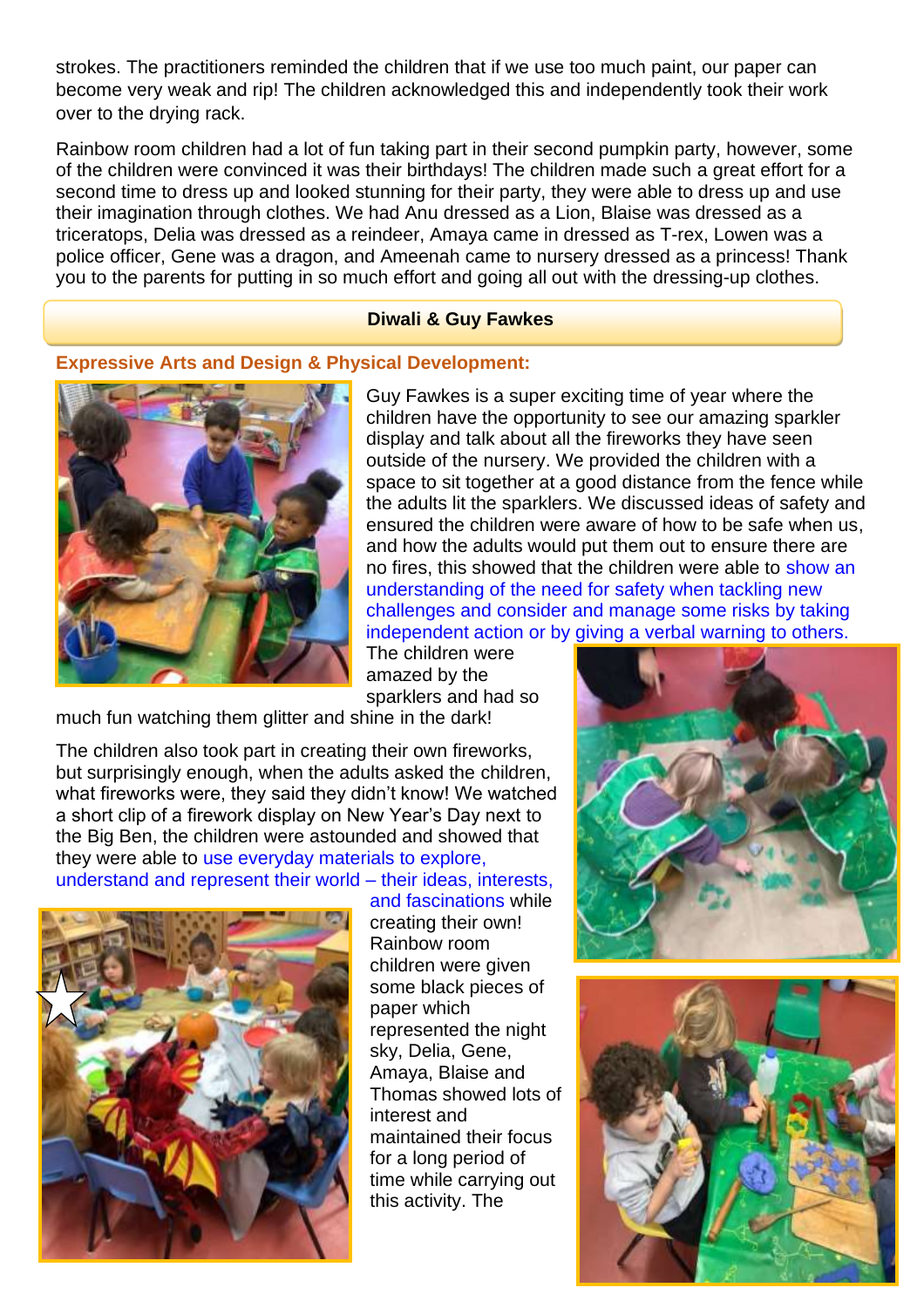strokes. The practitioners reminded the children that if we use too much paint, our paper can become very weak and rip! The children acknowledged this and independently took their work over to the drying rack.

Rainbow room children had a lot of fun taking part in their second pumpkin party, however, some of the children were convinced it was their birthdays! The children made such a great effort for a second time to dress up and looked stunning for their party, they were able to dress up and use their imagination through clothes. We had Anu dressed as a Lion, Blaise was dressed as a triceratops, Delia was dressed as a reindeer, Amaya came in dressed as T-rex, Lowen was a police officer, Gene was a dragon, and Ameenah came to nursery dressed as a princess! Thank you to the parents for putting in so much effort and going all out with the dressing-up clothes.

#### **Diwali & Guy Fawkes**

#### **Expressive Arts and Design & Physical Development:**



Guy Fawkes is a super exciting time of year where the children have the opportunity to see our amazing sparkler display and talk about all the fireworks they have seen outside of the nursery. We provided the children with a space to sit together at a good distance from the fence while the adults lit the sparklers. We discussed ideas of safety and ensured the children were aware of how to be safe when us, and how the adults would put them out to ensure there are no fires, this showed that the children were able to show an understanding of the need for safety when tackling new challenges and consider and manage some risks by taking independent action or by giving a verbal warning to others.

The children were amazed by the sparklers and had so

much fun watching them glitter and shine in the dark!

The children also took part in creating their own fireworks, but surprisingly enough, when the adults asked the children, what fireworks were, they said they didn't know! We watched a short clip of a firework display on New Year's Day next to the Big Ben, the children were astounded and showed that they were able to use everyday materials to explore,

understand and represent their world – their ideas, interests,



and fascinations while creating their own! Rainbow room children were given some black pieces of paper which represented the night sky, Delia, Gene, Amaya, Blaise and Thomas showed lots of interest and maintained their focus for a long period of time while carrying out this activity. The



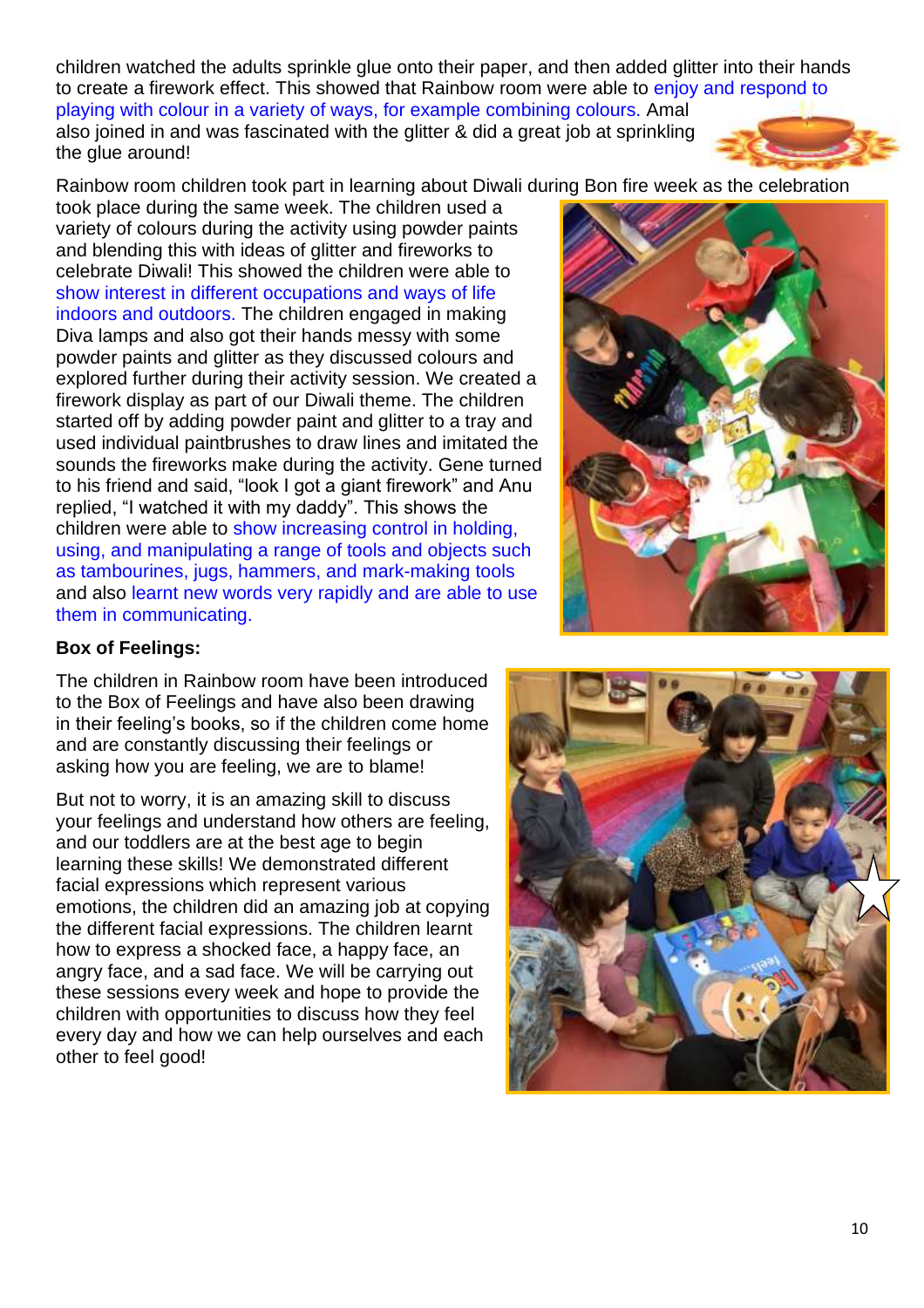children watched the adults sprinkle glue onto their paper, and then added glitter into their hands to create a firework effect. This showed that Rainbow room were able to enjoy and respond to playing with colour in a variety of ways, for example combining colours. Amal also joined in and was fascinated with the glitter & did a great job at sprinkling the glue around!

Rainbow room children took part in learning about Diwali during Bon fire week as the celebration

took place during the same week. The children used a variety of colours during the activity using powder paints and blending this with ideas of glitter and fireworks to celebrate Diwali! This showed the children were able to show interest in different occupations and ways of life indoors and outdoors. The children engaged in making Diva lamps and also got their hands messy with some powder paints and glitter as they discussed colours and explored further during their activity session. We created a firework display as part of our Diwali theme. The children started off by adding powder paint and glitter to a tray and used individual paintbrushes to draw lines and imitated the sounds the fireworks make during the activity. Gene turned to his friend and said, "look I got a giant firework" and Anu replied, "I watched it with my daddy". This shows the children were able to show increasing control in holding, using, and manipulating a range of tools and objects such as tambourines, jugs, hammers, and mark-making tools and also learnt new words very rapidly and are able to use them in communicating.



### **Box of Feelings:**

The children in Rainbow room have been introduced to the Box of Feelings and have also been drawing in their feeling's books, so if the children come home and are constantly discussing their feelings or asking how you are feeling, we are to blame!

But not to worry, it is an amazing skill to discuss your feelings and understand how others are feeling, and our toddlers are at the best age to begin learning these skills! We demonstrated different facial expressions which represent various emotions, the children did an amazing job at copying the different facial expressions. The children learnt how to express a shocked face, a happy face, an angry face, and a sad face. We will be carrying out these sessions every week and hope to provide the children with opportunities to discuss how they feel every day and how we can help ourselves and each other to feel good!

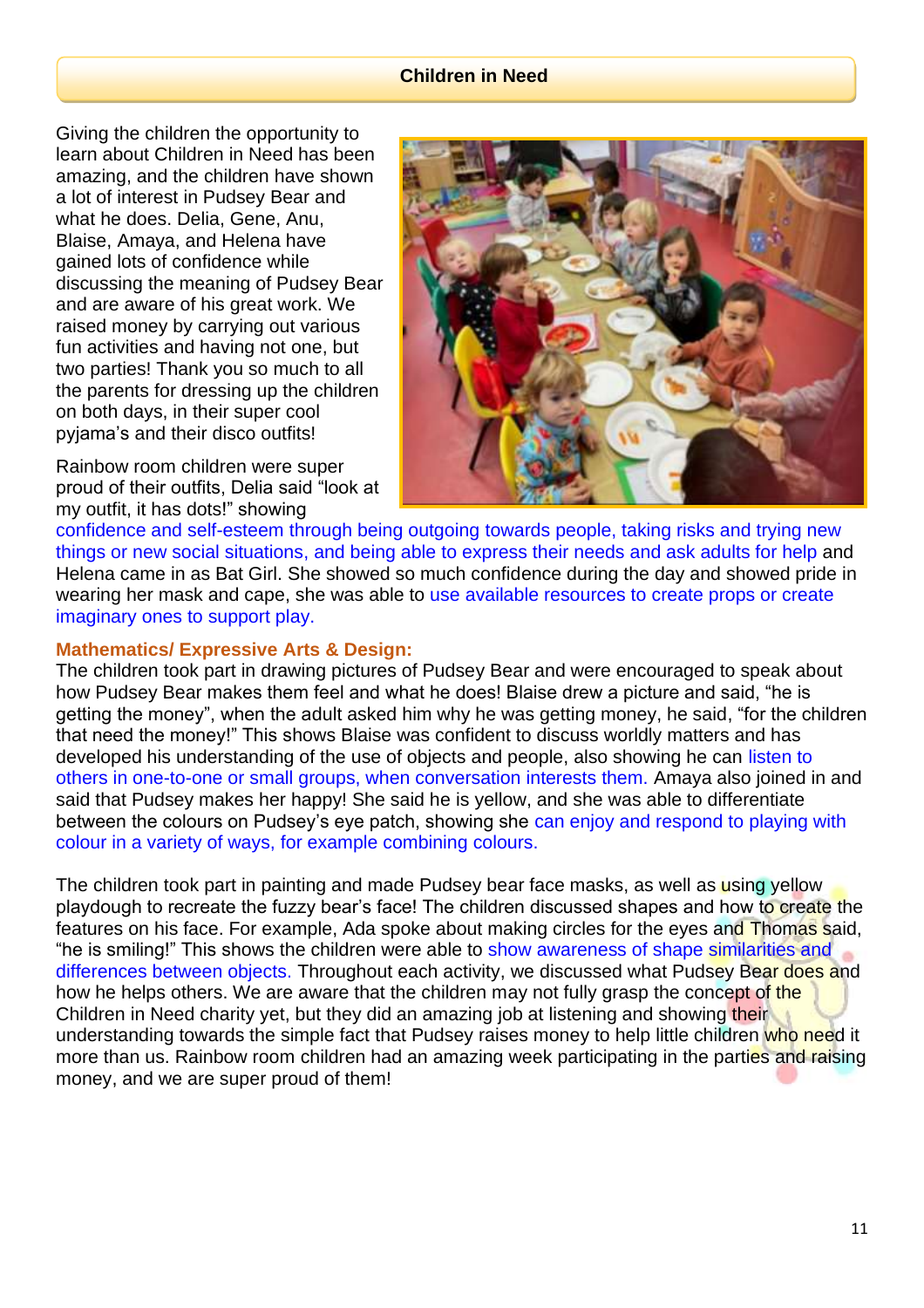#### **Children in Need**

Giving the children the opportunity to learn about Children in Need has been amazing, and the children have shown a lot of interest in Pudsey Bear and what he does. Delia, Gene, Anu, Blaise, Amaya, and Helena have gained lots of confidence while discussing the meaning of Pudsey Bear and are aware of his great work. We raised money by carrying out various fun activities and having not one, but two parties! Thank you so much to all the parents for dressing up the children on both days, in their super cool pyjama's and their disco outfits!

Rainbow room children were super proud of their outfits, Delia said "look at my outfit, it has dots!" showing



confidence and self-esteem through being outgoing towards people, taking risks and trying new things or new social situations, and being able to express their needs and ask adults for help and Helena came in as Bat Girl. She showed so much confidence during the day and showed pride in wearing her mask and cape, she was able to use available resources to create props or create imaginary ones to support play.

#### **Mathematics/ Expressive Arts & Design:**

The children took part in drawing pictures of Pudsey Bear and were encouraged to speak about how Pudsey Bear makes them feel and what he does! Blaise drew a picture and said, "he is getting the money", when the adult asked him why he was getting money, he said, "for the children that need the money!" This shows Blaise was confident to discuss worldly matters and has developed his understanding of the use of objects and people, also showing he can listen to others in one-to-one or small groups, when conversation interests them. Amaya also joined in and said that Pudsey makes her happy! She said he is yellow, and she was able to differentiate between the colours on Pudsey's eye patch, showing she can enjoy and respond to playing with colour in a variety of ways, for example combining colours.

The children took part in painting and made Pudsey bear face masks, as well as using yellow playdough to recreate the fuzzy bear's face! The children discussed shapes and how to create the features on his face. For example, Ada spoke about making circles for the eyes and Thomas said, "he is smiling!" This shows the children were able to show awareness of shape similarities and differences between objects. Throughout each activity, we discussed what Pudsey Bear does and how he helps others. We are aware that the children may not fully grasp the concept of the Children in Need charity yet, but they did an amazing job at listening and showing their understanding towards the simple fact that Pudsey raises money to help little children who need it more than us. Rainbow room children had an amazing week participating in the parties and raising money, and we are super proud of them!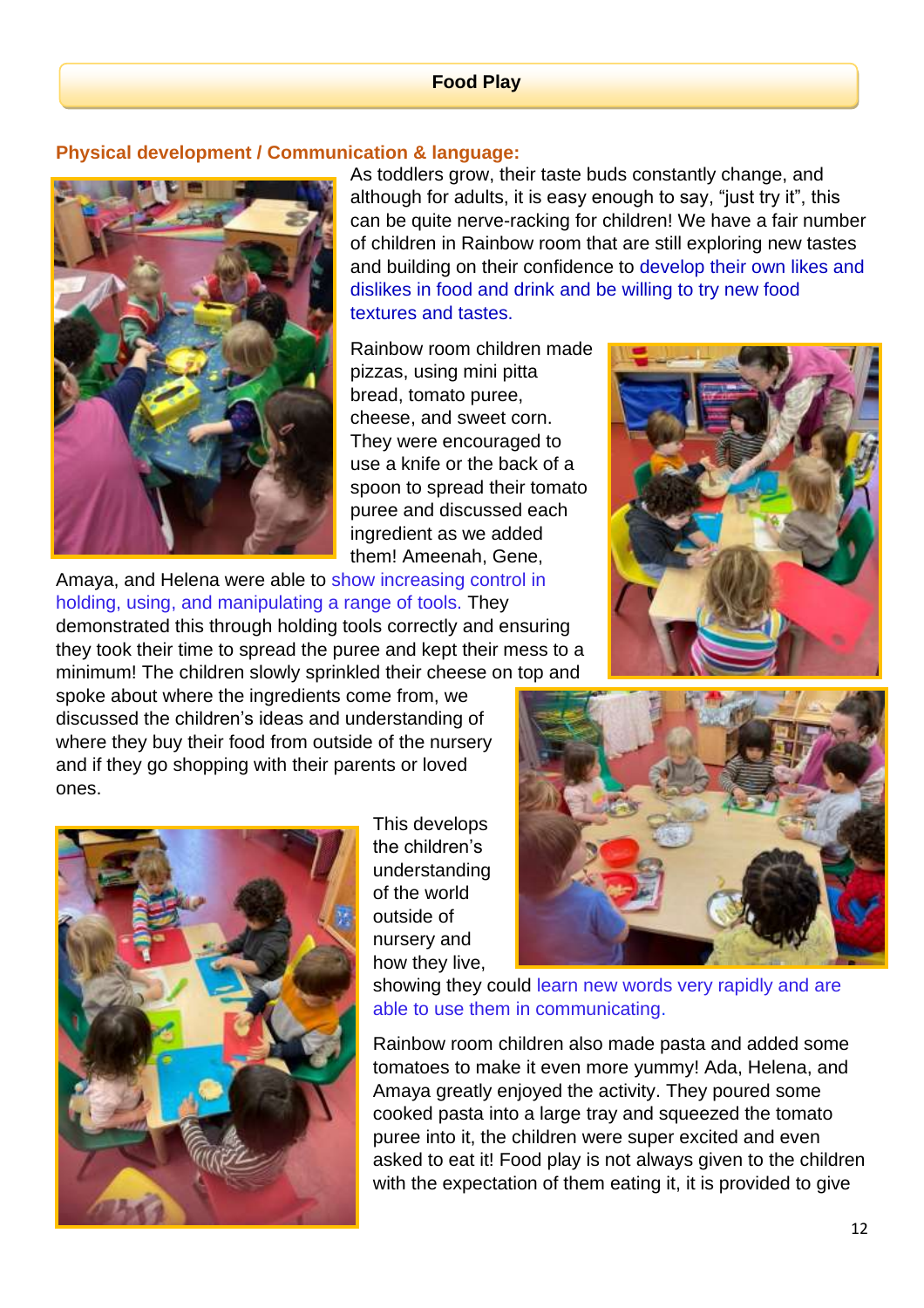#### **Food Play**

#### **Physical development / Communication & language:**



As toddlers grow, their taste buds constantly change, and although for adults, it is easy enough to say, "just try it", this can be quite nerve-racking for children! We have a fair number of children in Rainbow room that are still exploring new tastes and building on their confidence to develop their own likes and dislikes in food and drink and be willing to try new food textures and tastes.

Rainbow room children made pizzas, using mini pitta bread, tomato puree, cheese, and sweet corn. They were encouraged to use a knife or the back of a spoon to spread their tomato puree and discussed each ingredient as we added them! Ameenah, Gene,

Amaya, and Helena were able to show increasing control in holding, using, and manipulating a range of tools. They demonstrated this through holding tools correctly and ensuring they took their time to spread the puree and kept their mess to a minimum! The children slowly sprinkled their cheese on top and

spoke about where the ingredients come from, we discussed the children's ideas and understanding of where they buy their food from outside of the nursery and if they go shopping with their parents or loved ones.



This develops the children's understanding of the world outside of nursery and how they live,





showing they could learn new words very rapidly and are able to use them in communicating.

Rainbow room children also made pasta and added some tomatoes to make it even more yummy! Ada, Helena, and Amaya greatly enjoyed the activity. They poured some cooked pasta into a large tray and squeezed the tomato puree into it, the children were super excited and even asked to eat it! Food play is not always given to the children with the expectation of them eating it, it is provided to give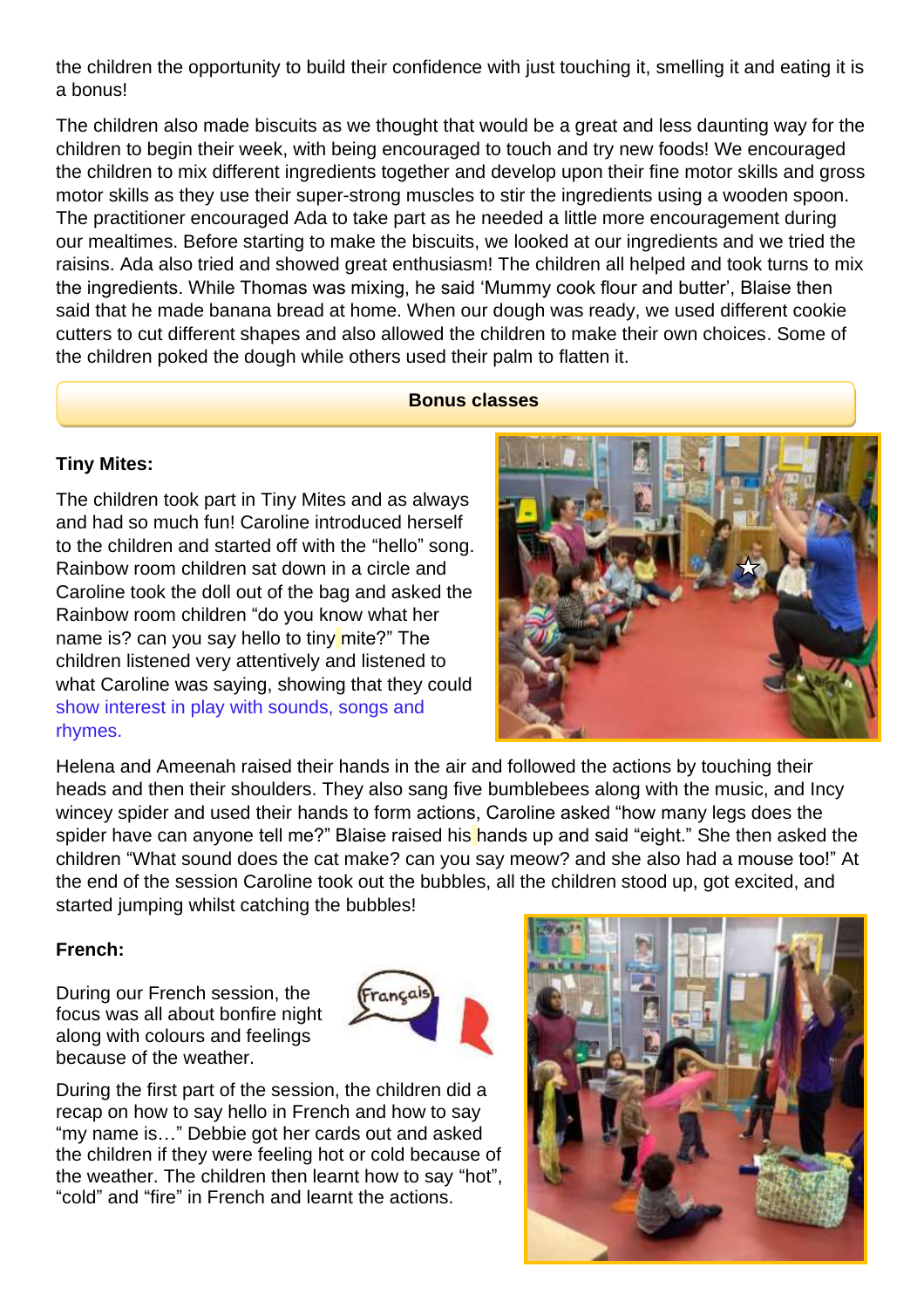the children the opportunity to build their confidence with just touching it, smelling it and eating it is a bonus!

The children also made biscuits as we thought that would be a great and less daunting way for the children to begin their week, with being encouraged to touch and try new foods! We encouraged the children to mix different ingredients together and develop upon their fine motor skills and gross motor skills as they use their super-strong muscles to stir the ingredients using a wooden spoon. The practitioner encouraged Ada to take part as he needed a little more encouragement during our mealtimes. Before starting to make the biscuits, we looked at our ingredients and we tried the raisins. Ada also tried and showed great enthusiasm! The children all helped and took turns to mix the ingredients. While Thomas was mixing, he said 'Mummy cook flour and butter', Blaise then said that he made banana bread at home. When our dough was ready, we used different cookie cutters to cut different shapes and also allowed the children to make their own choices. Some of the children poked the dough while others used their palm to flatten it.

#### **Bonus classes**

#### **Tiny Mites:**

The children took part in Tiny Mites and as always and had so much fun! Caroline introduced herself to the children and started off with the "hello" song. Rainbow room children sat down in a circle and Caroline took the doll out of the bag and asked the Rainbow room children "do you know what her name is? can you say hello to tiny mite?" The children listened very attentively and listened to what Caroline was saying, showing that they could show interest in play with sounds, songs and rhymes.



Helena and Ameenah raised their hands in the air and followed the actions by touching their heads and then their shoulders. They also sang five bumblebees along with the music, and Incy wincey spider and used their hands to form actions, Caroline asked "how many legs does the spider have can anyone tell me?" Blaise raised his hands up and said "eight." She then asked the children "What sound does the cat make? can you say meow? and she also had a mouse too!" At the end of the session Caroline took out the bubbles, all the children stood up, got excited, and started jumping whilst catching the bubbles!

#### **French:**

During our French session, the focus was all about bonfire night along with colours and feelings because of the weather.



During the first part of the session, the children did a recap on how to say hello in French and how to say "my name is…" Debbie got her cards out and asked the children if they were feeling hot or cold because of the weather. The children then learnt how to say "hot", "cold" and "fire" in French and learnt the actions.

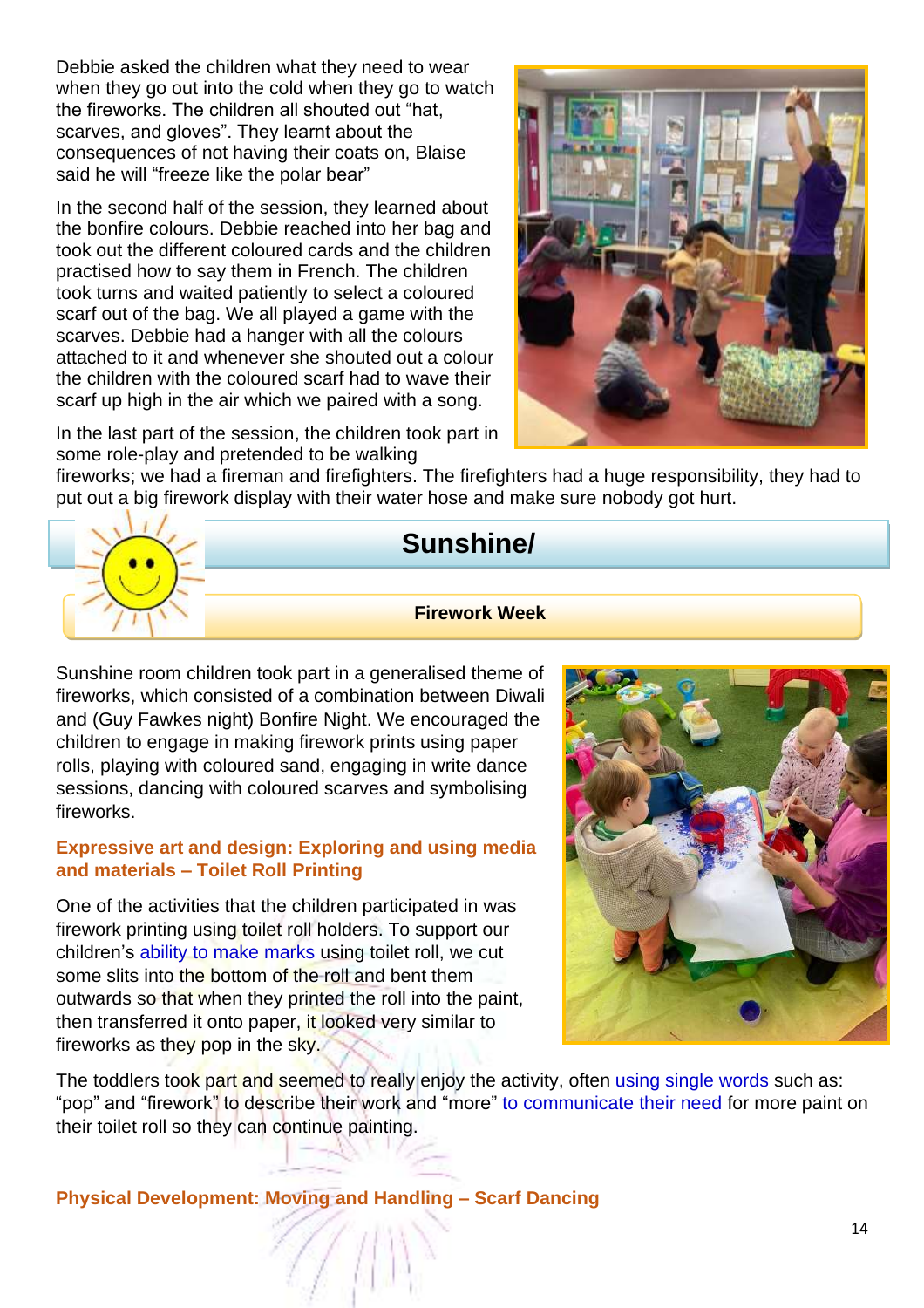Debbie asked the children what they need to wear when they go out into the cold when they go to watch the fireworks. The children all shouted out "hat, scarves, and gloves". They learnt about the consequences of not having their coats on, Blaise said he will "freeze like the polar bear"

In the second half of the session, they learned about the bonfire colours. Debbie reached into her bag and took out the different coloured cards and the children practised how to say them in French. The children took turns and waited patiently to select a coloured scarf out of the bag. We all played a game with the scarves. Debbie had a hanger with all the colours attached to it and whenever she shouted out a colour the children with the coloured scarf had to wave their scarf up high in the air which we paired with a song.

In the last part of the session, the children took part in some role-play and pretended to be walking



fireworks; we had a fireman and firefighters. The firefighters had a huge responsibility, they had to put out a big firework display with their water hose and make sure nobody got hurt.



# **Sunshine/**

#### **+-/ ]# Room Firework Week**

Sunshine room children took part in a generalised theme of fireworks, which consisted of a combination between Diwali and (Guy Fawkes night) Bonfire Night. We encouraged the children to engage in making firework prints using paper rolls, playing with coloured sand, engaging in write dance sessions, dancing with coloured scarves and symbolising fireworks.

#### **Expressive art and design: Exploring and using media and materials – Toilet Roll Printing**

One of the activities that the children participated in was firework printing using toilet roll holders. To support our children's ability to make marks using toilet roll, we cut some slits into the bottom of the roll and bent them outwards so that when they printed the roll into the paint, then transferred it onto paper, it looked very similar to fireworks as they pop in the sky.



The toddlers took part and seemed to really enjoy the activity, often using single words such as: "pop" and "firework" to describe their work and "more" to communicate their need for more paint on their toilet roll so they can continue painting.

**Physical Development: Moving and Handling – Scarf Dancing**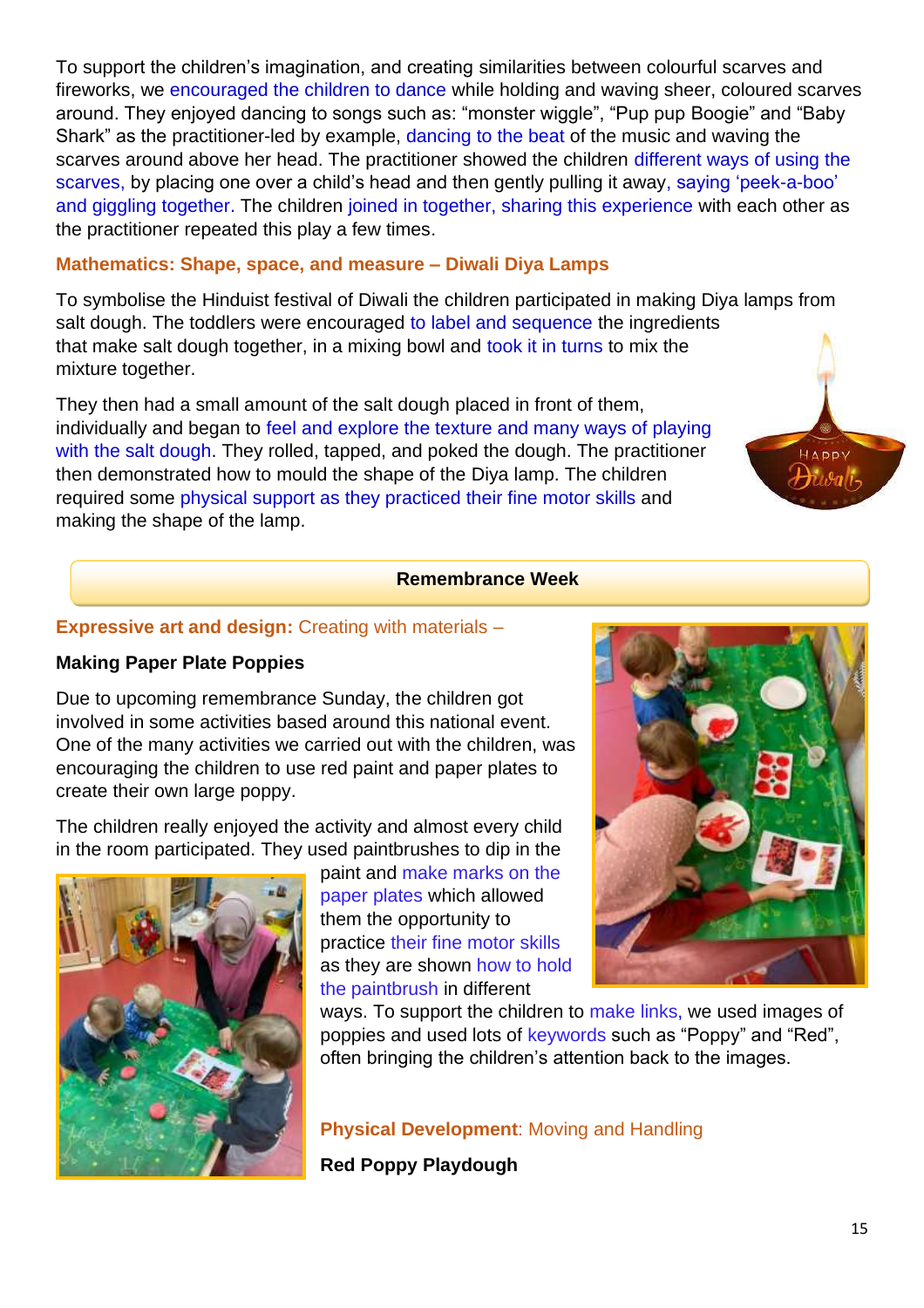To support the children's imagination, and creating similarities between colourful scarves and fireworks, we encouraged the children to dance while holding and waving sheer, coloured scarves around. They enjoyed dancing to songs such as: "monster wiggle", "Pup pup Boogie" and "Baby Shark" as the practitioner-led by example, dancing to the beat of the music and waving the scarves around above her head. The practitioner showed the children different ways of using the scarves, by placing one over a child's head and then gently pulling it away, saying 'peek-a-boo' and giggling together. The children joined in together, sharing this experience with each other as the practitioner repeated this play a few times.

#### **Mathematics: Shape, space, and measure – Diwali Diya Lamps**

To symbolise the Hinduist festival of Diwali the children participated in making Diya lamps from salt dough. The toddlers were encouraged to label and sequence the ingredients that make salt dough together, in a mixing bowl and took it in turns to mix the mixture together.

They then had a small amount of the salt dough placed in front of them, individually and began to feel and explore the texture and many ways of playing with the salt dough. They rolled, tapped, and poked the dough. The practitioner then demonstrated how to mould the shape of the Diya lamp. The children required some physical support as they practiced their fine motor skills and making the shape of the lamp.

#### **Remembrance Week**

### **Expressive art and design: Creating with materials –**

#### **Making Paper Plate Poppies**

Due to upcoming remembrance Sunday, the children got involved in some activities based around this national event. One of the many activities we carried out with the children, was encouraging the children to use red paint and paper plates to create their own large poppy.

The children really enjoyed the activity and almost every child in the room participated. They used paintbrushes to dip in the



paint and make marks on the paper plates which allowed them the opportunity to practice their fine motor skills as they are shown how to hold the paintbrush in different



 $ADON$ 

ways. To support the children to make links, we used images of poppies and used lots of keywords such as "Poppy" and "Red", often bringing the children's attention back to the images.

**Physical Development**: Moving and Handling

**Red Poppy Playdough**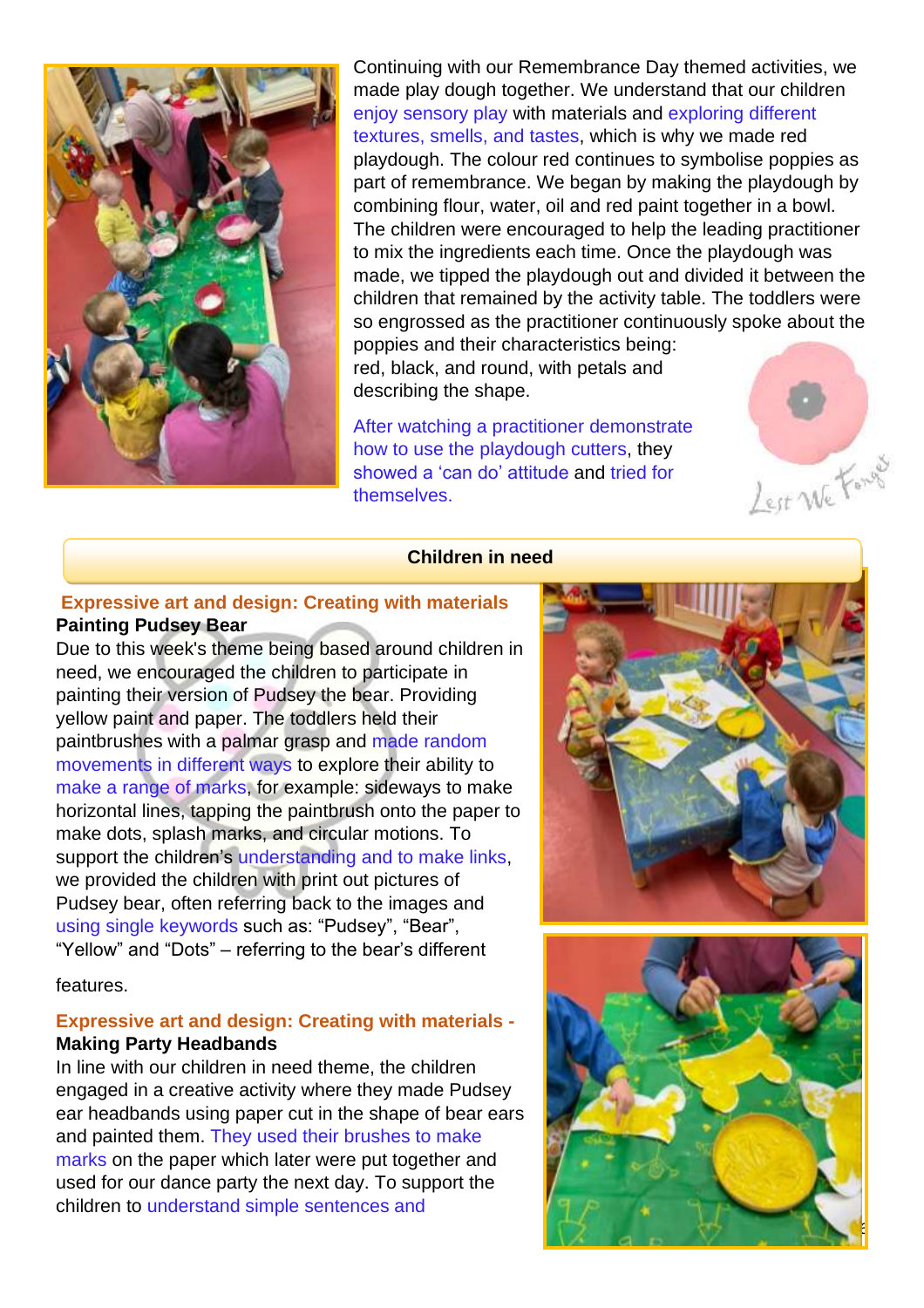

Continuing with our Remembrance Day themed activities, we made play dough together. We understand that our children enjoy sensory play with materials and exploring different textures, smells, and tastes, which is why we made red playdough. The colour red continues to symbolise poppies as part of remembrance. We began by making the playdough by combining flour, water, oil and red paint together in a bowl. The children were encouraged to help the leading practitioner to mix the ingredients each time. Once the playdough was made, we tipped the playdough out and divided it between the children that remained by the activity table. The toddlers were so engrossed as the practitioner continuously spoke about the poppies and their characteristics being: red, black, and round, with petals and

describing the shape.

After watching a practitioner demonstrate how to use the playdough cutters, they showed a 'can do' attitude and tried for themselves.



#### **Children in need**

#### **Expressive art and design: Creating with materials Painting Pudsey Bear**

Due to this week's theme being based around children in need, we encouraged the children to participate in painting their version of Pudsey the bear. Providing yellow paint and paper. The toddlers held their paintbrushes with a palmar grasp and made random movements in different ways to explore their ability to make a range of marks, for example: sideways to make horizontal lines, tapping the paintbrush onto the paper to make dots, splash marks, and circular motions. To support the children's understanding and to make links, we provided the children with print out pictures of Pudsey bear, often referring back to the images and using single keywords such as: "Pudsey", "Bear", "Yellow" and "Dots" – referring to the bear's different

features.

# **Expressive art and design: Creating with materials - Making Party Headbands**

In line with our children in need theme, the children engaged in a creative activity where they made Pudsey ear headbands using paper cut in the shape of bear ears and painted them. They used their brushes to make marks on the paper which later were put together and used for our dance party the next day. To support the children to understand simple sentences and



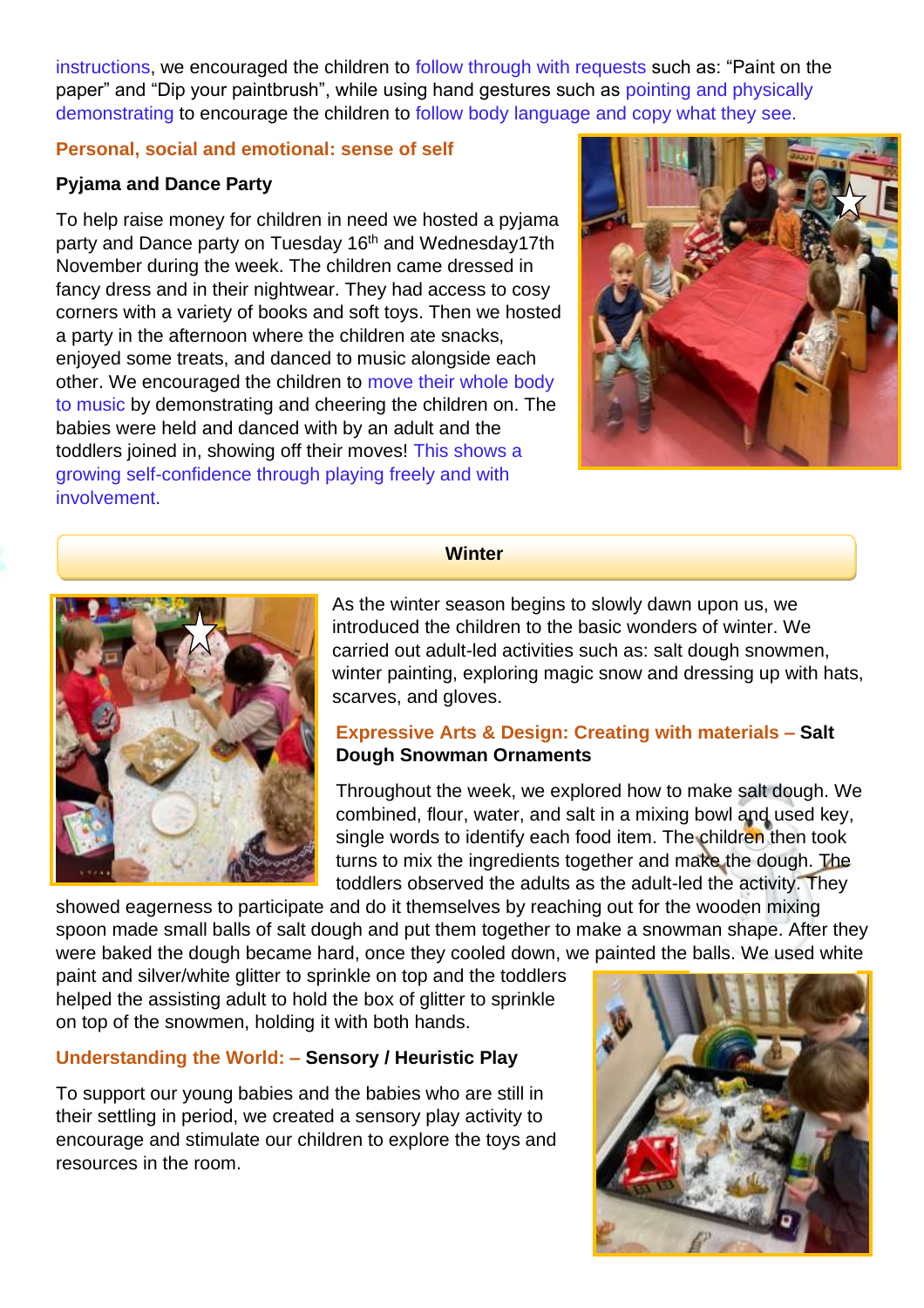instructions, we encouraged the children to follow through with requests such as: "Paint on the paper" and "Dip your paintbrush", while using hand gestures such as pointing and physically demonstrating to encourage the children to follow body language and copy what they see.

#### **Personal, social and emotional: sense of self**

### **Pyjama and Dance Party**

To help raise money for children in need we hosted a pyjama party and Dance party on Tuesday 16<sup>th</sup> and Wednesday17th November during the week. The children came dressed in fancy dress and in their nightwear. They had access to cosy corners with a variety of books and soft toys. Then we hosted a party in the afternoon where the children ate snacks, enjoyed some treats, and danced to music alongside each other. We encouraged the children to move their whole body to music by demonstrating and cheering the children on. The babies were held and danced with by an adult and the toddlers joined in, showing off their moves! This shows a growing self-confidence through playing freely and with involvement.



#### **Winter**



As the winter season begins to slowly dawn upon us, we introduced the children to the basic wonders of winter. We carried out adult-led activities such as: salt dough snowmen, winter painting, exploring magic snow and dressing up with hats, scarves, and gloves.

# **Expressive Arts & Design: Creating with materials – Salt Dough Snowman Ornaments**

Throughout the week, we explored how to make salt dough. We combined, flour, water, and salt in a mixing bowl and used key, single words to identify each food item. The children then took turns to mix the ingredients together and make the dough. The toddlers observed the adults as the adult-led the activity. They

showed eagerness to participate and do it themselves by reaching out for the wooden mixing spoon made small balls of salt dough and put them together to make a snowman shape. After they were baked the dough became hard, once they cooled down, we painted the balls. We used white

paint and silver/white glitter to sprinkle on top and the toddlers helped the assisting adult to hold the box of glitter to sprinkle on top of the snowmen, holding it with both hands.

# **Understanding the World: – Sensory / Heuristic Play**

To support our young babies and the babies who are still in their settling in period, we created a sensory play activity to encourage and stimulate our children to explore the toys and resources in the room.

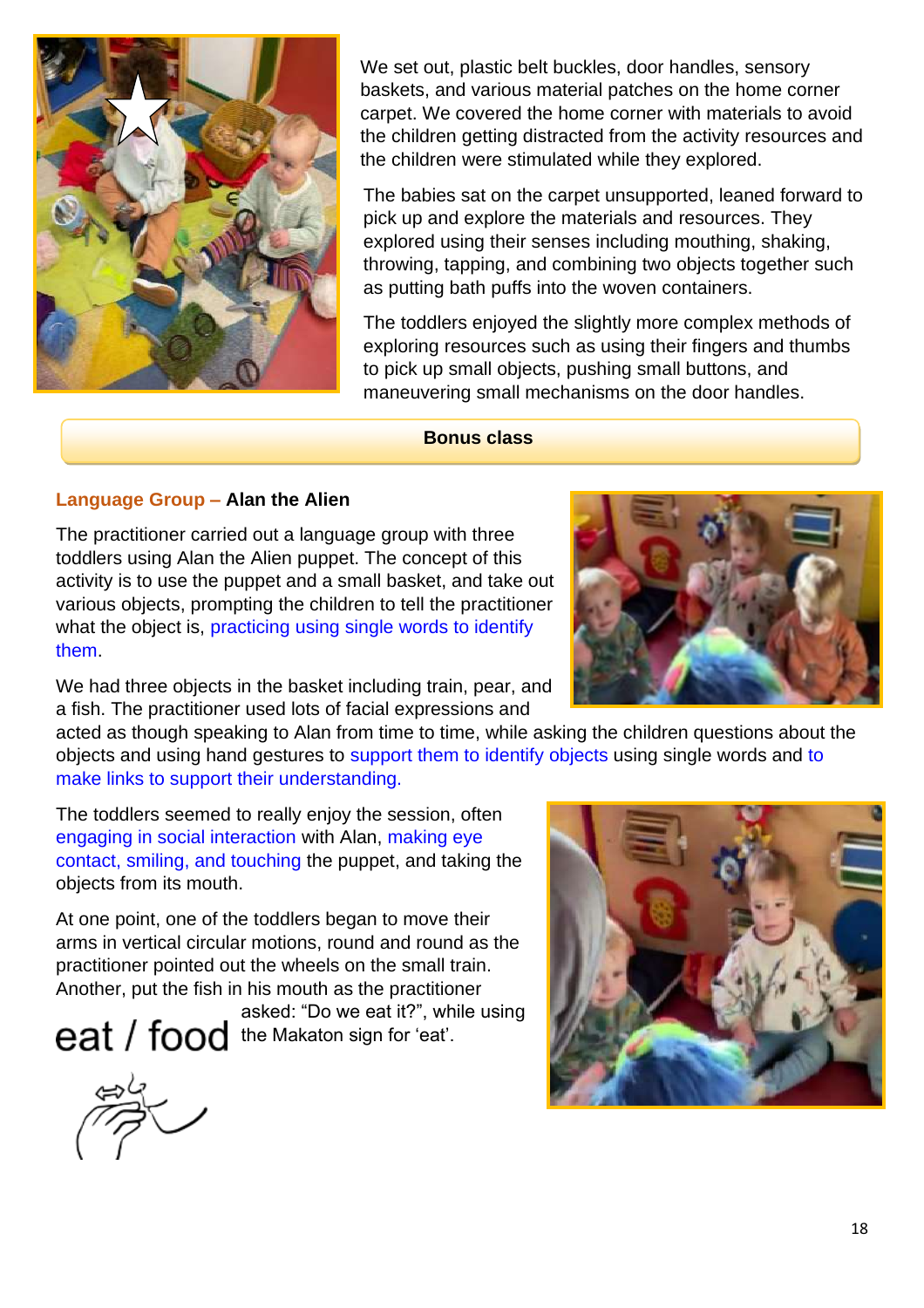

We set out, plastic belt buckles, door handles, sensory baskets, and various material patches on the home corner carpet. We covered the home corner with materials to avoid the children getting distracted from the activity resources and the children were stimulated while they explored.

The babies sat on the carpet unsupported, leaned forward to pick up and explore the materials and resources. They explored using their senses including mouthing, shaking, throwing, tapping, and combining two objects together such as putting bath puffs into the woven containers.

The toddlers enjoyed the slightly more complex methods of exploring resources such as using their fingers and thumbs to pick up small objects, pushing small buttons, and maneuvering small mechanisms on the door handles.

#### **Bonus class**

### **Language Group – Alan the Alien**

The practitioner carried out a language group with three toddlers using Alan the Alien puppet. The concept of this activity is to use the puppet and a small basket, and take out various objects, prompting the children to tell the practitioner what the object is, practicing using single words to identify them.

We had three objects in the basket including train, pear, and a fish. The practitioner used lots of facial expressions and

acted as though speaking to Alan from time to time, while asking the children questions about the objects and using hand gestures to support them to identify objects using single words and to make links to support their understanding.

The toddlers seemed to really enjoy the session, often engaging in social interaction with Alan, making eye contact, smiling, and touching the puppet, and taking the objects from its mouth.

At one point, one of the toddlers began to move their arms in vertical circular motions, round and round as the practitioner pointed out the wheels on the small train. Another, put the fish in his mouth as the practitioner

asked: "Do we eat it?", while using eat / food the Makaton sign for 'eat'.